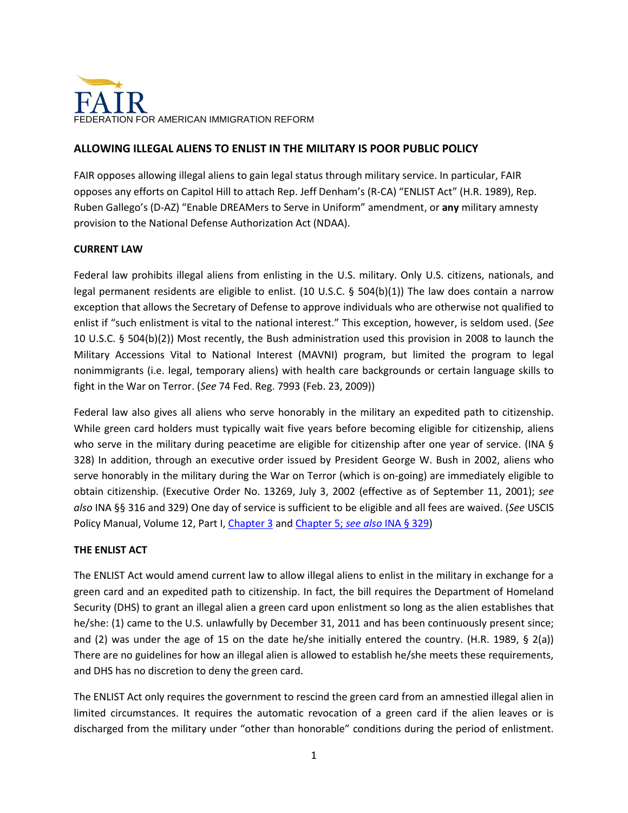

# **ALLOWING ILLEGAL ALIENS TO ENLIST IN THE MILITARY IS POOR PUBLIC POLICY**

FAIR opposes allowing illegal aliens to gain legal status through military service. In particular, FAIR opposes any efforts on Capitol Hill to attach Rep. Jeff Denham's (R-CA) "ENLIST Act" (H.R. 1989), Rep. Ruben Gallego's (D-AZ) "Enable DREAMers to Serve in Uniform" amendment, or **any** military amnesty provision to the National Defense Authorization Act (NDAA).

### **CURRENT LAW**

Federal law prohibits illegal aliens from enlisting in the U.S. military. Only U.S. citizens, nationals, and legal permanent residents are eligible to enlist. (10 U.S.C. § 504(b)(1)) The law does contain a narrow exception that allows the Secretary of Defense to approve individuals who are otherwise not qualified to enlist if "such enlistment is vital to the national interest." This exception, however, is seldom used. (*See* 10 U.S.C. § 504(b)(2)) Most recently, the Bush administration used this provision in 2008 to launch the Military Accessions Vital to National Interest (MAVNI) program, but limited the program to legal nonimmigrants (i.e. legal, temporary aliens) with health care backgrounds or certain language skills to fight in the War on Terror. (*See* 74 Fed. Reg. 7993 (Feb. 23, 2009))

Federal law also gives all aliens who serve honorably in the military an expedited path to citizenship. While green card holders must typically wait five years before becoming eligible for citizenship, aliens who serve in the military during peacetime are eligible for citizenship after one year of service. (INA § 328) In addition, through an executive order issued by President George W. Bush in 2002, aliens who serve honorably in the military during the War on Terror (which is on-going) are immediately eligible to obtain citizenship. (Executive Order No. 13269, July 3, 2002 (effective as of September 11, 2001); *see also* INA §§ 316 and 329) One day of service is sufficient to be eligible and all fees are waived. (*See* USCIS Policy Manual, Volume 12, Part I[, Chapter 3](http://www.uscis.gov/policymanual/HTML/PolicyManual-Volume12-PartI-Chapter3.html) and [Chapter 5;](http://www.uscis.gov/policymanual/HTML/PolicyManual-Volume12-PartI-Chapter5.html) *see also* INA § 329)

### **THE ENLIST ACT**

The ENLIST Act would amend current law to allow illegal aliens to enlist in the military in exchange for a green card and an expedited path to citizenship. In fact, the bill requires the Department of Homeland Security (DHS) to grant an illegal alien a green card upon enlistment so long as the alien establishes that he/she: (1) came to the U.S. unlawfully by December 31, 2011 and has been continuously present since; and (2) was under the age of 15 on the date he/she initially entered the country. (H.R. 1989, § 2(a)) There are no guidelines for how an illegal alien is allowed to establish he/she meets these requirements, and DHS has no discretion to deny the green card.

The ENLIST Act only requires the government to rescind the green card from an amnestied illegal alien in limited circumstances. It requires the automatic revocation of a green card if the alien leaves or is discharged from the military under "other than honorable" conditions during the period of enlistment.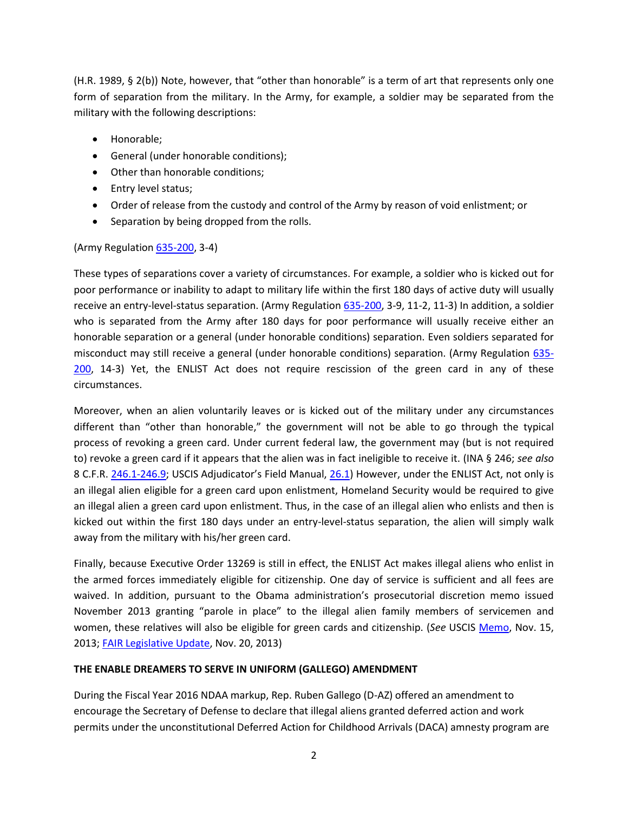(H.R. 1989, § 2(b)) Note, however, that "other than honorable" is a term of art that represents only one form of separation from the military. In the Army, for example, a soldier may be separated from the military with the following descriptions:

- Honorable;
- General (under honorable conditions);
- Other than honorable conditions;
- Entry level status;
- Order of release from the custody and control of the Army by reason of void enlistment; or
- Separation by being dropped from the rolls.

(Army Regulation [635-200,](http://www.apd.army.mil/pdffiles/r635_200.pdf) 3-4)

These types of separations cover a variety of circumstances. For example, a soldier who is kicked out for poor performance or inability to adapt to military life within the first 180 days of active duty will usually receive an entry-level-status separation. (Army Regulation [635-200,](http://www.apd.army.mil/pdffiles/r635_200.pdf) 3-9, 11-2, 11-3) In addition, a soldier who is separated from the Army after 180 days for poor performance will usually receive either an honorable separation or a general (under honorable conditions) separation. Even soldiers separated for misconduct may still receive a general (under honorable conditions) separation. (Army Regulation [635-](http://www.apd.army.mil/pdffiles/r635_200.pdf) [200,](http://www.apd.army.mil/pdffiles/r635_200.pdf) 14-3) Yet, the ENLIST Act does not require rescission of the green card in any of these circumstances.

Moreover, when an alien voluntarily leaves or is kicked out of the military under any circumstances different than "other than honorable," the government will not be able to go through the typical process of revoking a green card. Under current federal law, the government may (but is not required to) revoke a green card if it appears that the alien was in fact ineligible to receive it. (INA § 246; *see also* 8 C.F.R. [246.1-246.9](http://www.gpo.gov/fdsys/pkg/CFR-2012-title8-vol1/xml/CFR-2012-title8-vol1-part246.xml); USCIS Adjudicator's Field Manual, [26.1\)](http://www.uscis.gov/iframe/ilink/docView/AFM/HTML/AFM/0-0-0-1.html) However, under the ENLIST Act, not only is an illegal alien eligible for a green card upon enlistment, Homeland Security would be required to give an illegal alien a green card upon enlistment. Thus, in the case of an illegal alien who enlists and then is kicked out within the first 180 days under an entry-level-status separation, the alien will simply walk away from the military with his/her green card.

Finally, because Executive Order 13269 is still in effect, the ENLIST Act makes illegal aliens who enlist in the armed forces immediately eligible for citizenship. One day of service is sufficient and all fees are waived. In addition, pursuant to the Obama administration's prosecutorial discretion memo issued November 2013 granting "parole in place" to the illegal alien family members of servicemen and women, these relatives will also be eligible for green cards and citizenship. (*See* USCIS [Memo,](http://www.uscis.gov/sites/default/files/USCIS/Laws/Memoranda/2013/2013-1115_Parole_in_Place_Memo_.pdf) Nov. 15, 2013[; FAIR Legislative Update,](http://www.fairus.org/legislative-updates/legislative-update-11-20-2013?A=SearchResult&SearchID=6465637&ObjectID=7188310&ObjectType=35) Nov. 20, 2013)

#### **THE ENABLE DREAMERS TO SERVE IN UNIFORM (GALLEGO) AMENDMENT**

During the Fiscal Year 2016 NDAA markup, Rep. Ruben Gallego (D-AZ) offered an amendment to encourage the Secretary of Defense to declare that illegal aliens granted deferred action and work permits under the unconstitutional Deferred Action for Childhood Arrivals (DACA) amnesty program are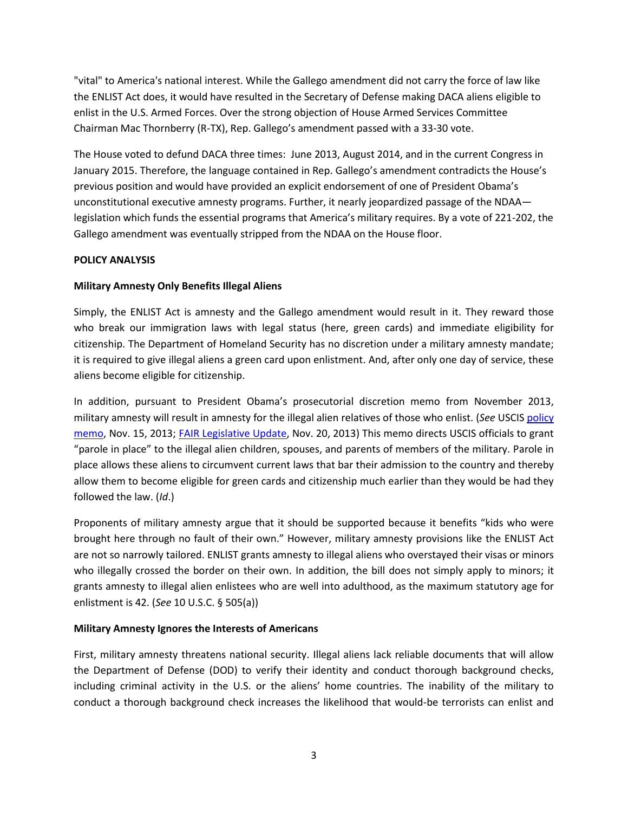"vital" to America's national interest. While the Gallego amendment did not carry the force of law like the ENLIST Act does, it would have resulted in the Secretary of Defense making DACA aliens eligible to enlist in the U.S. Armed Forces. Over the strong objection of House Armed Services Committee Chairman Mac Thornberry (R-TX), Rep. Gallego's amendment passed with a 33-30 vote.

The House voted to defund DACA three times: June 2013, August 2014, and in the current Congress in January 2015. Therefore, the language contained in Rep. Gallego's amendment contradicts the House's previous position and would have provided an explicit endorsement of one of President Obama's unconstitutional executive amnesty programs. Further, it nearly jeopardized passage of the NDAA legislation which funds the essential programs that America's military requires. By a vote of 221-202, the Gallego amendment was eventually stripped from the NDAA on the House floor.

## **POLICY ANALYSIS**

## **Military Amnesty Only Benefits Illegal Aliens**

Simply, the ENLIST Act is amnesty and the Gallego amendment would result in it. They reward those who break our immigration laws with legal status (here, green cards) and immediate eligibility for citizenship. The Department of Homeland Security has no discretion under a military amnesty mandate; it is required to give illegal aliens a green card upon enlistment. And, after only one day of service, these aliens become eligible for citizenship.

In addition, pursuant to President Obama's prosecutorial discretion memo from November 2013, military amnesty will result in amnesty for the illegal alien relatives of those who enlist. (*See* USCI[S policy](http://www.uscis.gov/sites/default/files/USCIS/Laws/Memoranda/2013/2013-1115_Parole_in_Place_Memo_.pdf)  [memo,](http://www.uscis.gov/sites/default/files/USCIS/Laws/Memoranda/2013/2013-1115_Parole_in_Place_Memo_.pdf) Nov. 15, 2013; [FAIR Legislative Update,](http://www.fairus.org/legislative-updates/legislative-update-11-20-2013?A=SearchResult&SearchID=6476204&ObjectID=7188310&ObjectType=35) Nov. 20, 2013) This memo directs USCIS officials to grant "parole in place" to the illegal alien children, spouses, and parents of members of the military. Parole in place allows these aliens to circumvent current laws that bar their admission to the country and thereby allow them to become eligible for green cards and citizenship much earlier than they would be had they followed the law. (*Id*.)

Proponents of military amnesty argue that it should be supported because it benefits "kids who were brought here through no fault of their own." However, military amnesty provisions like the ENLIST Act are not so narrowly tailored. ENLIST grants amnesty to illegal aliens who overstayed their visas or minors who illegally crossed the border on their own. In addition, the bill does not simply apply to minors; it grants amnesty to illegal alien enlistees who are well into adulthood, as the maximum statutory age for enlistment is 42. (*See* 10 U.S.C. § 505(a))

### **Military Amnesty Ignores the Interests of Americans**

First, military amnesty threatens national security. Illegal aliens lack reliable documents that will allow the Department of Defense (DOD) to verify their identity and conduct thorough background checks, including criminal activity in the U.S. or the aliens' home countries. The inability of the military to conduct a thorough background check increases the likelihood that would-be terrorists can enlist and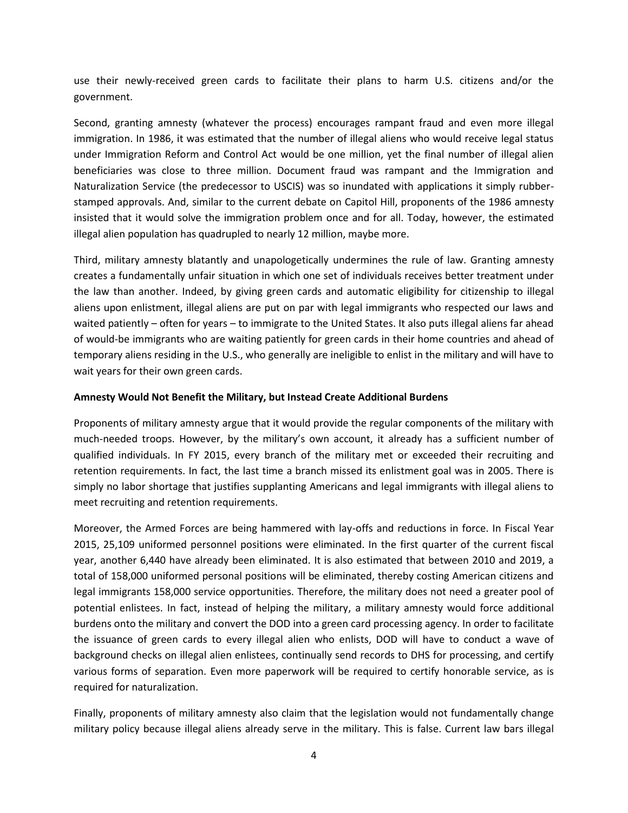use their newly-received green cards to facilitate their plans to harm U.S. citizens and/or the government.

Second, granting amnesty (whatever the process) encourages rampant fraud and even more illegal immigration. In 1986, it was estimated that the number of illegal aliens who would receive legal status under Immigration Reform and Control Act would be one million, yet the final number of illegal alien beneficiaries was close to three million. Document fraud was rampant and the Immigration and Naturalization Service (the predecessor to USCIS) was so inundated with applications it simply rubberstamped approvals. And, similar to the current debate on Capitol Hill, proponents of the 1986 amnesty insisted that it would solve the immigration problem once and for all. Today, however, the estimated illegal alien population has quadrupled to nearly 12 million, maybe more.

Third, military amnesty blatantly and unapologetically undermines the rule of law. Granting amnesty creates a fundamentally unfair situation in which one set of individuals receives better treatment under the law than another. Indeed, by giving green cards and automatic eligibility for citizenship to illegal aliens upon enlistment, illegal aliens are put on par with legal immigrants who respected our laws and waited patiently – often for years – to immigrate to the United States. It also puts illegal aliens far ahead of would-be immigrants who are waiting patiently for green cards in their home countries and ahead of temporary aliens residing in the U.S., who generally are ineligible to enlist in the military and will have to wait years for their own green cards.

#### **Amnesty Would Not Benefit the Military, but Instead Create Additional Burdens**

Proponents of military amnesty argue that it would provide the regular components of the military with much-needed troops. However, by the military's own account, it already has a sufficient number of qualified individuals. In FY 2015, every branch of the military met or exceeded their recruiting and retention requirements. In fact, the last time a branch missed its enlistment goal was in 2005. There is simply no labor shortage that justifies supplanting Americans and legal immigrants with illegal aliens to meet recruiting and retention requirements.

Moreover, the Armed Forces are being hammered with lay-offs and reductions in force. In Fiscal Year 2015, 25,109 uniformed personnel positions were eliminated. In the first quarter of the current fiscal year, another 6,440 have already been eliminated. It is also estimated that between 2010 and 2019, a total of 158,000 uniformed personal positions will be eliminated, thereby costing American citizens and legal immigrants 158,000 service opportunities. Therefore, the military does not need a greater pool of potential enlistees. In fact, instead of helping the military, a military amnesty would force additional burdens onto the military and convert the DOD into a green card processing agency. In order to facilitate the issuance of green cards to every illegal alien who enlists, DOD will have to conduct a wave of background checks on illegal alien enlistees, continually send records to DHS for processing, and certify various forms of separation. Even more paperwork will be required to certify honorable service, as is required for naturalization.

Finally, proponents of military amnesty also claim that the legislation would not fundamentally change military policy because illegal aliens already serve in the military. This is false. Current law bars illegal